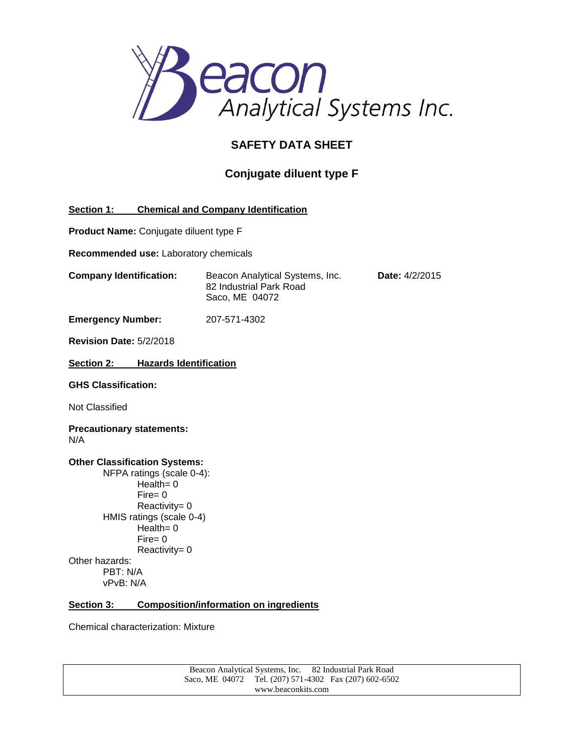

# **SAFETY DATA SHEET**

# **Conjugate diluent type F**

# **Section 1: Chemical and Company Identification**

**Product Name:** Conjugate diluent type F

**Recommended use:** Laboratory chemicals

**Company Identification:** Beacon Analytical Systems, Inc. **Date:** 4/2/2015 82 Industrial Park Road Saco, ME 04072

**Emergency Number:** 207-571-4302

**Revision Date:** 5/2/2018

**Section 2: Hazards Identification**

**GHS Classification:**

Not Classified

**Precautionary statements:** N/A

#### **Other Classification Systems:** NFPA ratings (scale 0-4): Health= 0

Fire= 0 Reactivity= 0 HMIS ratings (scale 0-4)  $Health = 0$ Fire= 0 Reactivity= 0 Other hazards: PBT: N/A vPvB: N/A

### **Section 3: Composition/information on ingredients**

Chemical characterization: Mixture

Beacon Analytical Systems, Inc. 82 Industrial Park Road Saco, ME 04072 Tel. (207) 571-4302 Fax (207) 602-6502 www.beaconkits.com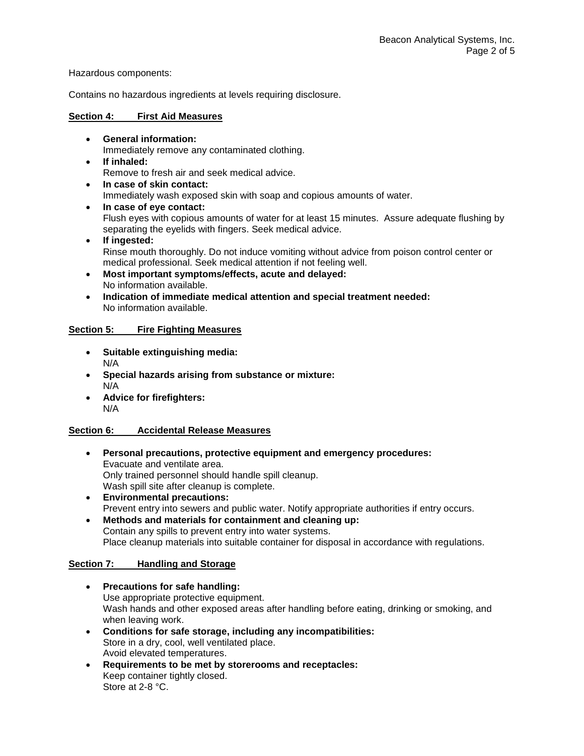Hazardous components:

Contains no hazardous ingredients at levels requiring disclosure.

## **Section 4: First Aid Measures**

- **General information:** Immediately remove any contaminated clothing.
- **If inhaled:** Remove to fresh air and seek medical advice.
- **In case of skin contact:** Immediately wash exposed skin with soap and copious amounts of water.
- **In case of eye contact:** Flush eyes with copious amounts of water for at least 15 minutes. Assure adequate flushing by separating the eyelids with fingers. Seek medical advice.
- **If ingested:** Rinse mouth thoroughly. Do not induce vomiting without advice from poison control center or medical professional. Seek medical attention if not feeling well.
- **Most important symptoms/effects, acute and delayed:** No information available.
- **Indication of immediate medical attention and special treatment needed:** No information available.

## **Section 5: Fire Fighting Measures**

- **Suitable extinguishing media:** N/A
- **Special hazards arising from substance or mixture:** N/A
- **Advice for firefighters:** N/A

# **Section 6: Accidental Release Measures**

- **Personal precautions, protective equipment and emergency procedures:** Evacuate and ventilate area. Only trained personnel should handle spill cleanup. Wash spill site after cleanup is complete. **Environmental precautions:**
	- Prevent entry into sewers and public water. Notify appropriate authorities if entry occurs.
- **Methods and materials for containment and cleaning up:** Contain any spills to prevent entry into water systems. Place cleanup materials into suitable container for disposal in accordance with regulations.

# **Section 7: Handling and Storage**

- **Precautions for safe handling:** Use appropriate protective equipment. Wash hands and other exposed areas after handling before eating, drinking or smoking, and when leaving work.
- **Conditions for safe storage, including any incompatibilities:** Store in a dry, cool, well ventilated place. Avoid elevated temperatures.
- **Requirements to be met by storerooms and receptacles:**  Keep container tightly closed. Store at 2-8 °C.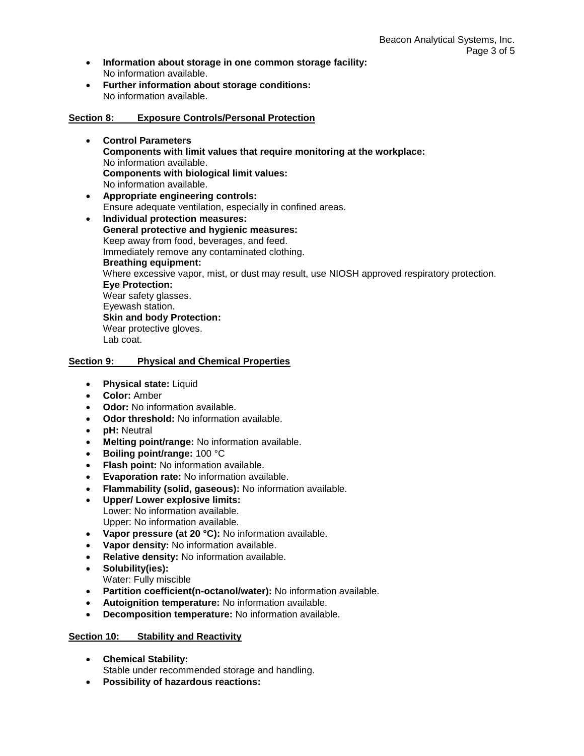- **Information about storage in one common storage facility:** No information available.
- **Further information about storage conditions:** No information available.

## **Section 8: Exposure Controls/Personal Protection**

- **Control Parameters Components with limit values that require monitoring at the workplace:** No information available. **Components with biological limit values:** No information available.
- **Appropriate engineering controls:**  Ensure adequate ventilation, especially in confined areas.
- **Individual protection measures: General protective and hygienic measures:** Keep away from food, beverages, and feed. Immediately remove any contaminated clothing. **Breathing equipment:** Where excessive vapor, mist, or dust may result, use NIOSH approved respiratory protection. **Eye Protection:** Wear safety glasses. Eyewash station. **Skin and body Protection:** Wear protective gloves. Lab coat.

### **Section 9: Physical and Chemical Properties**

- **Physical state:** Liquid
- **Color:** Amber
- **Odor:** No information available.
- **Odor threshold:** No information available.
- **pH:** Neutral
- **Melting point/range:** No information available.
- **Boiling point/range:** 100 °C
- **Flash point:** No information available.
- **Evaporation rate:** No information available.
- **Flammability (solid, gaseous):** No information available.
- **Upper/ Lower explosive limits:** Lower: No information available. Upper: No information available.
- **Vapor pressure (at 20 °C):** No information available.
- **Vapor density:** No information available.
- **Relative density:** No information available.
- **Solubility(ies):**
- Water: Fully miscible
- **Partition coefficient(n-octanol/water):** No information available.
- **Autoignition temperature:** No information available.
- **Decomposition temperature:** No information available.

### **Section 10: Stability and Reactivity**

- **Chemical Stability:** Stable under recommended storage and handling.
- **Possibility of hazardous reactions:**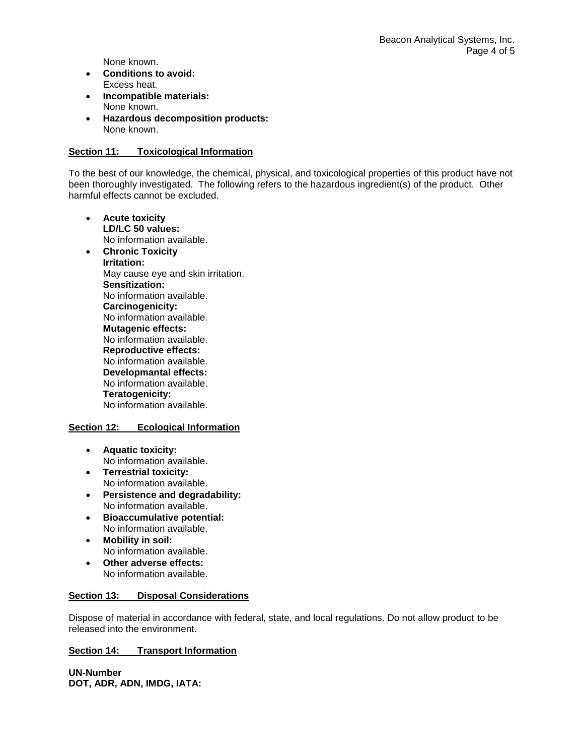None known.

- **Conditions to avoid:** Excess heat.
- **Incompatible materials:** None known.
- **Hazardous decomposition products:** None known.

## **Section 11: Toxicological Information**

To the best of our knowledge, the chemical, physical, and toxicological properties of this product have not been thoroughly investigated. The following refers to the hazardous ingredient(s) of the product. Other harmful effects cannot be excluded.

- **Acute toxicity LD/LC 50 values:** No information available.
- **Chronic Toxicity Irritation:** May cause eye and skin irritation. **Sensitization:** No information available. **Carcinogenicity:** No information available. **Mutagenic effects:** No information available. **Reproductive effects:** No information available. **Developmantal effects:** No information available. **Teratogenicity:** No information available.

### **Section 12: Ecological Information**

- **Aquatic toxicity:** No information available.
- **Terrestrial toxicity:** No information available.
- **Persistence and degradability:** No information available.
- **Bioaccumulative potential:** No information available.
- **Mobility in soil:** No information available.
- **Other adverse effects:** No information available.

## **Section 13: Disposal Considerations**

Dispose of material in accordance with federal, state, and local regulations. Do not allow product to be released into the environment.

# **Section 14: Transport Information**

**UN-Number DOT, ADR, ADN, IMDG, IATA:**